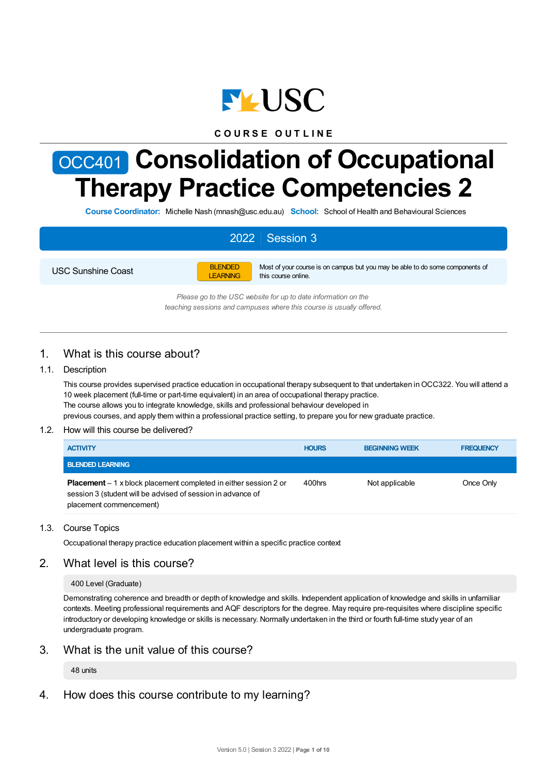

# **C O U R S E O U T L I N E**

# OCC401 **Consolidation of Occupational Therapy Practice Competencies 2**

**Course Coordinator:** Michelle Nash (mnash@usc.edu.au) **School:** School of Health and Behavioural Sciences

# 2022 Session 3

USC Sunshine Coast



Most of your course is on campus but you may be able to do some components of this course online.

*Please go to the USC website for up to date information on the teaching sessions and campuses where this course is usually offered.*

# 1. What is this course about?

# 1.1. Description

This course provides supervised practice education in occupational therapy subsequent to that undertaken inOCC322. You will attend a 10 week placement (full-time or part-time equivalent) in an area of occupational therapy practice. The course allows you to integrate knowledge, skills and professional behaviour developed in previous courses, and apply them within a professional practice setting, to prepare you for new graduate practice.

#### 1.2. How will this course be delivered?

| <b>ACTIVITY</b>                                                                                                                                                    | <b>HOURS</b> | <b>BEGINNING WEEK</b> | <b>FREQUENCY</b> |
|--------------------------------------------------------------------------------------------------------------------------------------------------------------------|--------------|-----------------------|------------------|
| <b>BLENDED LEARNING</b>                                                                                                                                            |              |                       |                  |
| <b>Placement</b> $-1$ x block placement completed in either session 2 or<br>session 3 (student will be advised of session in advance of<br>placement commencement) | 400hrs       | Not applicable        | Once Only        |

#### 1.3. Course Topics

Occupational therapy practice education placement within a specific practice context

# 2. What level is this course?

400 Level (Graduate)

Demonstrating coherence and breadth or depth of knowledge and skills. Independent application of knowledge and skills in unfamiliar contexts. Meeting professional requirements and AQF descriptors for the degree. May require pre-requisites where discipline specific introductory or developing knowledge or skills is necessary. Normally undertaken in the third or fourth full-time study year of an undergraduate program.

3. What is the unit value of this course?

48 units

4. How does this course contribute to my learning?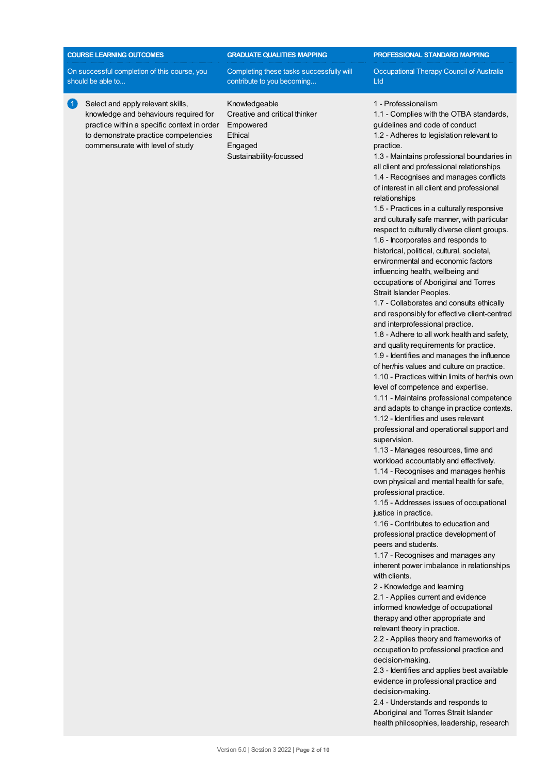| <b>COURSE LEARNING OUTCOMES</b> |
|---------------------------------|
|                                 |
|                                 |

knowledge and behaviours required for practice within a specific context in order to demonstrate practice competencies commensurate with level of study

On successful completion of this course, you should be able to...

1 Select and apply relevant skills,

# **GRADUATEQUALITIES MAPPING**

Completing these tasks successfully will contribute to you becoming...

Knowledgeable Creative and critical thinker Empowered Ethical Engaged Sustainability-focussed

**PROFESSIONAL STANDARD MAPPING**

Occupational Therapy Council of Australia Ltd

#### 1 - Professionalism

1.1 - Complies with the OTBA standards, guidelines and code of conduct 1.2 - Adheres to legislation relevant to practice.

1.3 - Maintains professional boundaries in all client and professional relationships 1.4 - Recognises and manages conflicts of interest in all client and professional relationships

1.5 - Practices in a culturally responsive and culturally safe manner, with particular respect to culturally diverse client groups. 1.6 - Incorporates and responds to historical, political, cultural, societal, environmental and economic factors influencing health, wellbeing and occupations of Aboriginal and Torres Strait Islander Peoples.

1.7 - Collaborates and consults ethically and responsibly for effective client-centred and interprofessional practice.

1.8 - Adhere to all work health and safety, and quality requirements for practice. 1.9 - Identifies and manages the influence

of her/his values and culture on practice.

1.10 - Practices within limits of her/his own level of competence and expertise.

1.11 - Maintains professional competence and adapts to change in practice contexts. 1.12 - Identifies and uses relevant

professional and operational support and supervision.

1.13 - Manages resources, time and workload accountably and effectively.

1.14 - Recognises and manages her/his own physical and mental health for safe, professional practice.

1.15 - Addresses issues of occupational justice in practice.

1.16 - Contributes to education and professional practice development of peers and students.

1.17 - Recognises and manages any inherent power imbalance in relationships with clients.

2 - Knowledge and learning

2.1 - Applies current and evidence informed knowledge of occupational therapy and other appropriate and relevant theory in practice.

2.2 - Applies theory and frameworks of occupation to professional practice and decision-making.

2.3 - Identifies and applies best available evidence in professional practice and decision-making.

2.4 - Understands and responds to Aboriginal and Torres Strait Islander health philosophies, leadership, research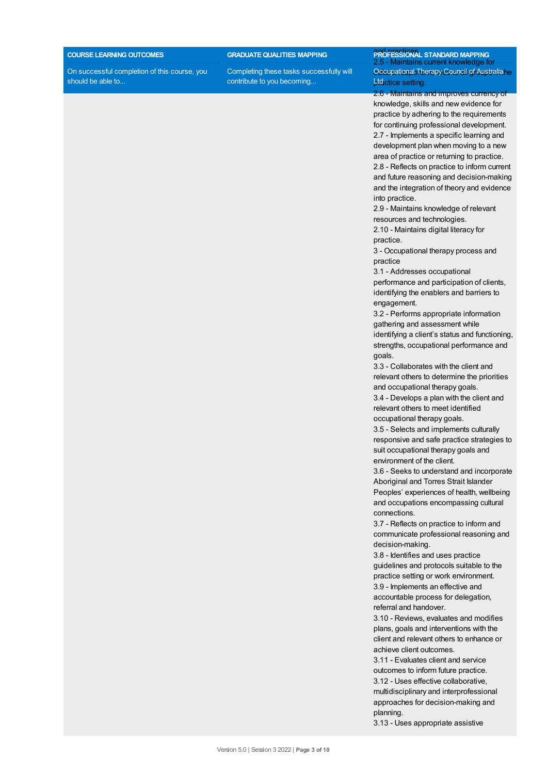#### **COURSE LEARNING OUTCOMES**

On successful completion of this course, you should be able to...

**GRADUATEQUALITIES MAPPING**

Completing these tasks successfully will contribute to you becoming...

## and practices. **PROFESSIONAL STANDARD MAPPING** 5 - Maintains current knowled OccupationabTherapy Council of Australiane **ptactice setting.**

2.6 - Maintains and improves currency of knowledge, skills and new evidence for practice by adhering to the requirements for continuing professional development. 2.7 - Implements a specific learning and development plan when moving to a new area of practice or returning to practice. 2.8 - Reflects on practice to inform current and future reasoning and decision-making and the integration of theory and evidence into practice.

2.9 - Maintains knowledge of relevant resources and technologies.

2.10 - Maintains digital literacy for practice.

3 - Occupational therapy process and practice

3.1 - Addresses occupational performance and participation of clients, identifying the enablers and barriers to engagement.

3.2 - Performs appropriate information gathering and assessment while identifying a client's status and functioning,

strengths, occupational performance and goals.

3.3 - Collaborates with the client and relevant others to determine the priorities and occupational therapy goals.

3.4 - Develops a plan with the client and relevant others to meet identified occupational therapy goals.

3.5 - Selects and implements culturally responsive and safe practice strategies to suit occupational therapy goals and environment of the client.

3.6 - Seeks to understand and incorporate Aboriginal and Torres Strait Islander Peoples' experiences of health, wellbeing and occupations encompassing cultural connections.

3.7 - Reflects on practice to inform and communicate professional reasoning and decision-making.

3.8 - Identifies and uses practice guidelines and protocols suitable to the practice setting or work environment. 3.9 - Implements an effective and accountable process for delegation, referral and handover.

3.10 - Reviews, evaluates and modifies plans, goals and interventions with the client and relevant others to enhance or achieve client outcomes.

3.11 - Evaluates client and service outcomes to inform future practice. 3.12 - Uses effective collaborative, multidisciplinary and interprofessional approaches for decision-making and planning.

3.13 - Uses appropriate assistive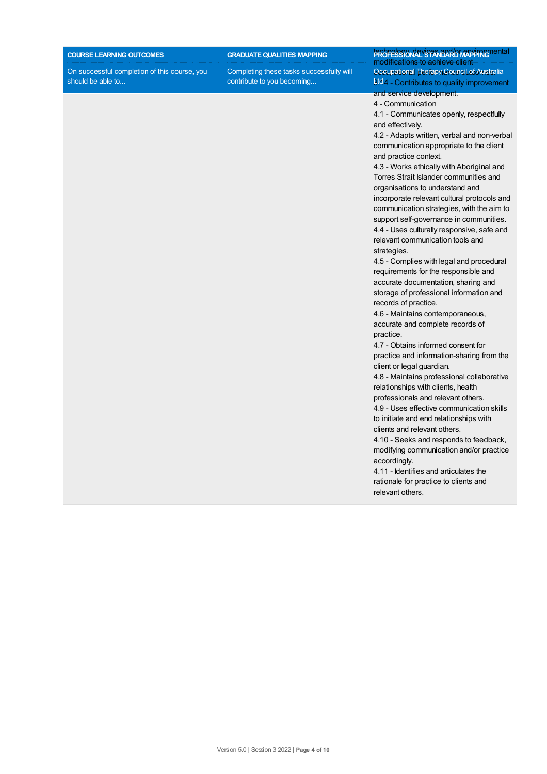#### **COURSE LEARNING OUTCOMES**

On successful completion of this course, you should be able to...

**GRADUATEQUALITIES MAPPING**

Completing these tasks successfully will contribute to you becoming...

#### **PROFESSIONAL STANDARD MAPPING** nental modifications to achieve client Occupational Therapy Council of Australia Btd 4 - Contributes to quality improvement and service development.

4 - Communication

4.1 - Communicates openly, respectfully and effectively.

4.2 - Adapts written, verbal and non-verbal communication appropriate to the client and practice context.

4.3 - Works ethically with Aboriginal and Torres Strait Islander communities and organisations to understand and incorporate relevant cultural protocols and communication strategies, with the aim to support self-governance in communities. 4.4 - Uses culturally responsive, safe and relevant communication tools and strategies.

4.5 - Complies with legal and procedural requirements for the responsible and accurate documentation, sharing and storage of professional information and records of practice.

4.6 - Maintains contemporaneous, accurate and complete records of practice.

4.7 - Obtains informed consent for practice and information-sharing from the client or legal guardian.

4.8 - Maintains professional collaborative relationships with clients, health

professionals and relevant others. 4.9 - Uses effective communication skills to initiate and end relationships with clients and relevant others.

4.10 - Seeks and responds to feedback, modifying communication and/or practice accordingly.

4.11 - Identifies and articulates the rationale for practice to clients and relevant others.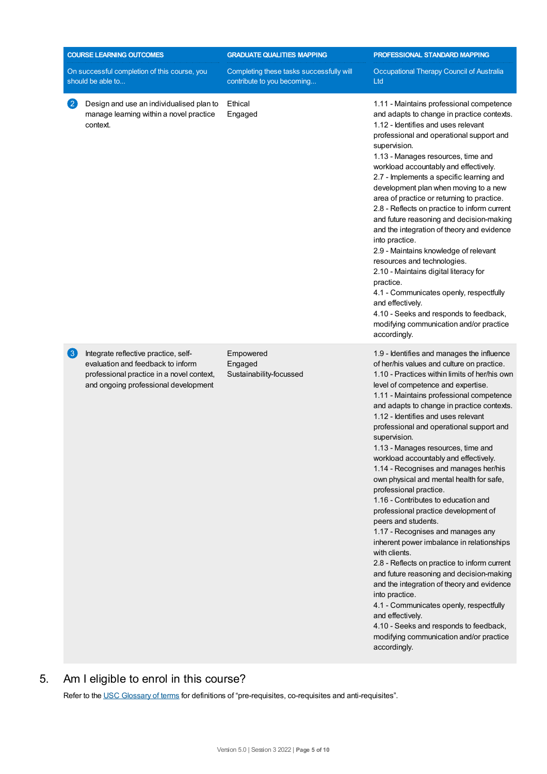|                   | <b>COURSE LEARNING OUTCOMES</b>                                                                                                                                | <b>GRADUATE QUALITIES MAPPING</b>                                      | PROFESSIONAL STANDARD MAPPING                                                                                                                                                                                                                                                                                                                                                                                                                                                                                                                                                                                                                                                                                                                                                                                                                                                                                                                                                                                                                                                                                       |
|-------------------|----------------------------------------------------------------------------------------------------------------------------------------------------------------|------------------------------------------------------------------------|---------------------------------------------------------------------------------------------------------------------------------------------------------------------------------------------------------------------------------------------------------------------------------------------------------------------------------------------------------------------------------------------------------------------------------------------------------------------------------------------------------------------------------------------------------------------------------------------------------------------------------------------------------------------------------------------------------------------------------------------------------------------------------------------------------------------------------------------------------------------------------------------------------------------------------------------------------------------------------------------------------------------------------------------------------------------------------------------------------------------|
|                   | On successful completion of this course, you<br>should be able to                                                                                              | Completing these tasks successfully will<br>contribute to you becoming | Occupational Therapy Council of Australia<br>Ltd                                                                                                                                                                                                                                                                                                                                                                                                                                                                                                                                                                                                                                                                                                                                                                                                                                                                                                                                                                                                                                                                    |
| $\left( 2\right)$ | Design and use an individualised plan to<br>manage learning within a novel practice<br>context.                                                                | Ethical<br>Engaged                                                     | 1.11 - Maintains professional competence<br>and adapts to change in practice contexts.<br>1.12 - Identifies and uses relevant<br>professional and operational support and<br>supervision.<br>1.13 - Manages resources, time and<br>workload accountably and effectively.<br>2.7 - Implements a specific learning and<br>development plan when moving to a new<br>area of practice or returning to practice.<br>2.8 - Reflects on practice to inform current<br>and future reasoning and decision-making<br>and the integration of theory and evidence<br>into practice.<br>2.9 - Maintains knowledge of relevant<br>resources and technologies.<br>2.10 - Maintains digital literacy for<br>practice.<br>4.1 - Communicates openly, respectfully<br>and effectively.<br>4.10 - Seeks and responds to feedback,<br>modifying communication and/or practice<br>accordingly.                                                                                                                                                                                                                                           |
| 3                 | Integrate reflective practice, self-<br>evaluation and feedback to inform<br>professional practice in a novel context,<br>and ongoing professional development | Empowered<br>Engaged<br>Sustainability-focussed                        | 1.9 - Identifies and manages the influence<br>of her/his values and culture on practice.<br>1.10 - Practices within limits of her/his own<br>level of competence and expertise.<br>1.11 - Maintains professional competence<br>and adapts to change in practice contexts.<br>1.12 - Identifies and uses relevant<br>professional and operational support and<br>supervision.<br>1.13 - Manages resources, time and<br>workload accountably and effectively.<br>1.14 - Recognises and manages her/his<br>own physical and mental health for safe,<br>professional practice.<br>1.16 - Contributes to education and<br>professional practice development of<br>peers and students.<br>1.17 - Recognises and manages any<br>inherent power imbalance in relationships<br>with clients.<br>2.8 - Reflects on practice to inform current<br>and future reasoning and decision-making<br>and the integration of theory and evidence<br>into practice.<br>4.1 - Communicates openly, respectfully<br>and effectively.<br>4.10 - Seeks and responds to feedback,<br>modifying communication and/or practice<br>accordingly. |

# 5. Am Ieligible to enrol in this course?

Refer to the USC [Glossary](https://www.usc.edu.au/about/policies-and-procedures/glossary-of-terms-for-policy-and-procedures) of terms for definitions of "pre-requisites, co-requisites and anti-requisites".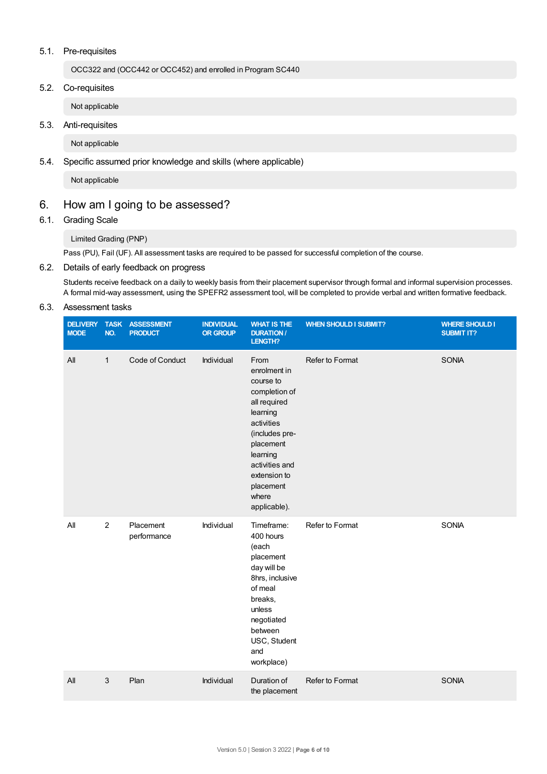# 5.1. Pre-requisites

OCC322 and (OCC442 or OCC452) and enrolled in Program SC440

5.2. Co-requisites

Not applicable

5.3. Anti-requisites

Not applicable

5.4. Specific assumed prior knowledge and skills (where applicable)

Not applicable

# 6. How am Igoing to be assessed?

# 6.1. Grading Scale

Limited Grading (PNP)

Pass (PU), Fail (UF). All assessment tasks are required to be passed for successful completion of the course.

# 6.2. Details of early feedback on progress

Students receive feedback on a daily to weekly basis from their placement supervisor through formal and informal supervision processes. A formal mid-way assessment, using the SPEFR2 assessment tool, will be completed to provide verbal and written formative feedback.

# 6.3. Assessment tasks

| <b>DELIVERY</b><br><b>MODE</b> | <b>TASK</b><br>NO. | <b>ASSESSMENT</b><br><b>PRODUCT</b> | <b>INDIVIDUAL</b><br><b>OR GROUP</b> | <b>WHAT IS THE</b><br><b>DURATION /</b><br>LENGTH?                                                                                                                                                              | <b>WHEN SHOULD I SUBMIT?</b> | <b>WHERE SHOULD I</b><br><b>SUBMIT IT?</b> |
|--------------------------------|--------------------|-------------------------------------|--------------------------------------|-----------------------------------------------------------------------------------------------------------------------------------------------------------------------------------------------------------------|------------------------------|--------------------------------------------|
| All                            | $\mathbf{1}$       | Code of Conduct                     | Individual                           | From<br>enrolment in<br>course to<br>completion of<br>all required<br>learning<br>activities<br>(includes pre-<br>placement<br>learning<br>activities and<br>extension to<br>placement<br>where<br>applicable). | Refer to Format              | <b>SONIA</b>                               |
| $A$ ll                         | $\overline{2}$     | Placement<br>performance            | Individual                           | Timeframe:<br>400 hours<br>(each<br>placement<br>day will be<br>8hrs, inclusive<br>of meal<br>breaks,<br>unless<br>negotiated<br>between<br>USC, Student<br>and<br>workplace)                                   | Refer to Format              | <b>SONIA</b>                               |
| All                            | 3                  | Plan                                | Individual                           | Duration of<br>the placement                                                                                                                                                                                    | Refer to Format              | <b>SONIA</b>                               |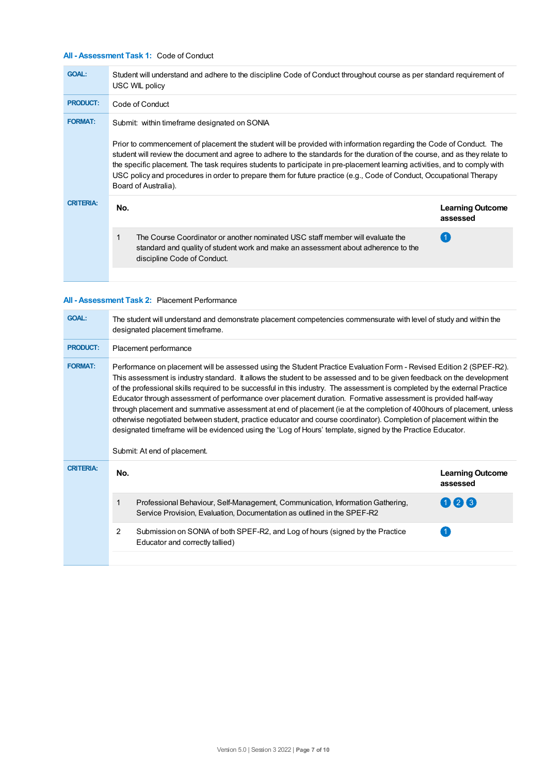# **All - Assessment Task 1:** Code of Conduct

| <b>GOAL:</b>     | Student will understand and adhere to the discipline Code of Conduct throughout course as per standard requirement of<br>USC WIL policy                                                                                                                                                                                                                                                                                                                                                                                                                                         |     |  |  |  |
|------------------|---------------------------------------------------------------------------------------------------------------------------------------------------------------------------------------------------------------------------------------------------------------------------------------------------------------------------------------------------------------------------------------------------------------------------------------------------------------------------------------------------------------------------------------------------------------------------------|-----|--|--|--|
| <b>PRODUCT:</b>  | Code of Conduct                                                                                                                                                                                                                                                                                                                                                                                                                                                                                                                                                                 |     |  |  |  |
| <b>FORMAT:</b>   | Submit: within timeframe designated on SONIA<br>Prior to commencement of placement the student will be provided with information regarding the Code of Conduct. The<br>student will review the document and agree to adhere to the standards for the duration of the course, and as they relate to<br>the specific placement. The task requires students to participate in pre-placement learning activities, and to comply with<br>USC policy and procedures in order to prepare them for future practice (e.g., Code of Conduct, Occupational Therapy<br>Board of Australia). |     |  |  |  |
| <b>CRITERIA:</b> | No.                                                                                                                                                                                                                                                                                                                                                                                                                                                                                                                                                                             |     |  |  |  |
|                  | 1<br>The Course Coordinator or another nominated USC staff member will evaluate the<br>standard and quality of student work and make an assessment about adherence to the<br>discipline Code of Conduct.                                                                                                                                                                                                                                                                                                                                                                        | (1) |  |  |  |
|                  |                                                                                                                                                                                                                                                                                                                                                                                                                                                                                                                                                                                 |     |  |  |  |

# **All - Assessment Task 2:** Placement Performance

| <b>GOAL:</b>     | The student will understand and demonstrate placement competencies commensurate with level of study and within the<br>designated placement timeframe.                                                                                                                                                                                                                                                                                                                                                                                                                                                                                                                                                                                                                                                                                                                                        |                                     |  |  |  |  |  |
|------------------|----------------------------------------------------------------------------------------------------------------------------------------------------------------------------------------------------------------------------------------------------------------------------------------------------------------------------------------------------------------------------------------------------------------------------------------------------------------------------------------------------------------------------------------------------------------------------------------------------------------------------------------------------------------------------------------------------------------------------------------------------------------------------------------------------------------------------------------------------------------------------------------------|-------------------------------------|--|--|--|--|--|
| <b>PRODUCT:</b>  | Placement performance                                                                                                                                                                                                                                                                                                                                                                                                                                                                                                                                                                                                                                                                                                                                                                                                                                                                        |                                     |  |  |  |  |  |
| <b>FORMAT:</b>   | Performance on placement will be assessed using the Student Practice Evaluation Form - Revised Edition 2 (SPEF-R2).<br>This assessment is industry standard. It allows the student to be assessed and to be given feedback on the development<br>of the professional skills required to be successful in this industry. The assessment is completed by the external Practice<br>Educator through assessment of performance over placement duration. Formative assessment is provided half-way<br>through placement and summative assessment at end of placement (ie at the completion of 400 hours of placement, unless<br>otherwise negotiated between student, practice educator and course coordinator). Completion of placement within the<br>designated timeframe will be evidenced using the 'Log of Hours' template, signed by the Practice Educator.<br>Submit: At end of placement. |                                     |  |  |  |  |  |
|                  |                                                                                                                                                                                                                                                                                                                                                                                                                                                                                                                                                                                                                                                                                                                                                                                                                                                                                              |                                     |  |  |  |  |  |
| <b>CRITERIA:</b> | No.                                                                                                                                                                                                                                                                                                                                                                                                                                                                                                                                                                                                                                                                                                                                                                                                                                                                                          | <b>Learning Outcome</b><br>assessed |  |  |  |  |  |
|                  | $\mathbf 1$<br>Professional Behaviour, Self-Management, Communication, Information Gathering,<br>Service Provision, Evaluation, Documentation as outlined in the SPEF-R2                                                                                                                                                                                                                                                                                                                                                                                                                                                                                                                                                                                                                                                                                                                     | 023                                 |  |  |  |  |  |
|                  | 2<br>Submission on SONIA of both SPEF-R2, and Log of hours (signed by the Practice<br>Educator and correctly tallied)                                                                                                                                                                                                                                                                                                                                                                                                                                                                                                                                                                                                                                                                                                                                                                        |                                     |  |  |  |  |  |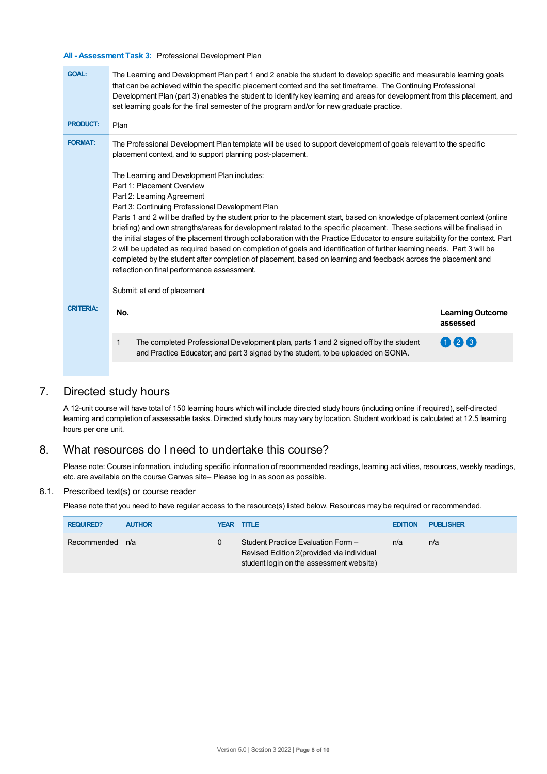# **All - Assessment Task 3:** Professional Development Plan

| <b>GOAL:</b>     | The Learning and Development Plan part 1 and 2 enable the student to develop specific and measurable learning goals<br>that can be achieved within the specific placement context and the set timeframe. The Continuing Professional<br>Development Plan (part 3) enables the student to identify key learning and areas for development from this placement, and<br>set learning goals for the final semester of the program and/or for new graduate practice.                                                                                                                                                                                                                                                                                                                                                                                                                                                                                                                           |                                     |  |  |  |
|------------------|-------------------------------------------------------------------------------------------------------------------------------------------------------------------------------------------------------------------------------------------------------------------------------------------------------------------------------------------------------------------------------------------------------------------------------------------------------------------------------------------------------------------------------------------------------------------------------------------------------------------------------------------------------------------------------------------------------------------------------------------------------------------------------------------------------------------------------------------------------------------------------------------------------------------------------------------------------------------------------------------|-------------------------------------|--|--|--|
| <b>PRODUCT:</b>  | Plan                                                                                                                                                                                                                                                                                                                                                                                                                                                                                                                                                                                                                                                                                                                                                                                                                                                                                                                                                                                      |                                     |  |  |  |
| <b>FORMAT:</b>   | The Professional Development Plan template will be used to support development of goals relevant to the specific<br>placement context, and to support planning post-placement.<br>The Learning and Development Plan includes:<br>Part 1: Placement Overview<br>Part 2: Learning Agreement<br>Part 3: Continuing Professional Development Plan<br>Parts 1 and 2 will be drafted by the student prior to the placement start, based on knowledge of placement context (online<br>briefing) and own strengths/areas for development related to the specific placement. These sections will be finalised in<br>the initial stages of the placement through collaboration with the Practice Educator to ensure suitability for the context. Part<br>2 will be updated as required based on completion of goals and identification of further learning needs. Part 3 will be<br>completed by the student after completion of placement, based on learning and feedback across the placement and |                                     |  |  |  |
|                  | reflection on final performance assessment.<br>Submit: at end of placement                                                                                                                                                                                                                                                                                                                                                                                                                                                                                                                                                                                                                                                                                                                                                                                                                                                                                                                |                                     |  |  |  |
| <b>CRITERIA:</b> | No.                                                                                                                                                                                                                                                                                                                                                                                                                                                                                                                                                                                                                                                                                                                                                                                                                                                                                                                                                                                       | <b>Learning Outcome</b><br>assessed |  |  |  |
|                  | The completed Professional Development plan, parts 1 and 2 signed off by the student<br>1<br>and Practice Educator; and part 3 signed by the student, to be uploaded on SONIA.                                                                                                                                                                                                                                                                                                                                                                                                                                                                                                                                                                                                                                                                                                                                                                                                            | 026                                 |  |  |  |

# 7. Directed study hours

A 12-unit course will have total of 150 learning hours which will include directed study hours (including online if required), self-directed learning and completion of assessable tasks. Directed study hours may vary by location. Student workload is calculated at 12.5 learning hours per one unit.

# 8. What resources do I need to undertake this course?

Please note: Course information, including specific information of recommended readings, learning activities, resources, weekly readings, etc. are available on the course Canvas site– Please log in as soon as possible.

# 8.1. Prescribed text(s) or course reader

Please note that you need to have regular access to the resource(s) listed below. Resources may be required or recommended.

| <b>REQUIRED?</b> | <b>AUTHOR</b> | YEAR TITLE                                                                                                                   | <b>EDITION</b> | <b>PUBLISHER</b> |
|------------------|---------------|------------------------------------------------------------------------------------------------------------------------------|----------------|------------------|
| Recommended n/a  |               | Student Practice Evaluation Form -<br>Revised Edition 2 (provided via individual<br>student login on the assessment website) | n/a            | n/a              |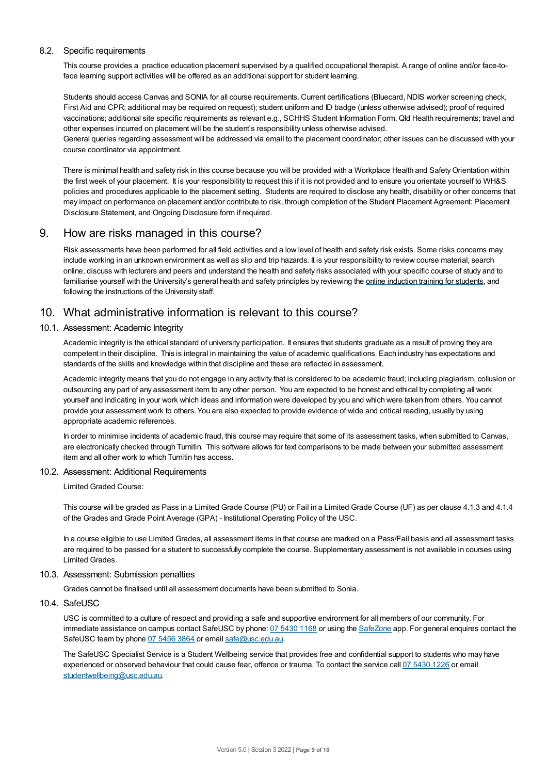## 8.2. Specific requirements

This course provides a practice education placement supervised by a qualified occupational therapist. A range of online and/or face-toface learning support activities will be offered as an additional support for student learning.

Students should access Canvas and SONIA for all course requirements. Current certifications (Bluecard, NDIS worker screening check, First Aid and CPR; additional may be required on request); student uniform and ID badge (unless otherwise advised); proof of required vaccinations; additional site specific requirements as relevant e.g., SCHHS Student Information Form, Qld Health requirements; travel and other expenses incurred on placement will be the student's responsibility unless otherwise advised.

General queries regarding assessment will be addressed via email to the placement coordinator; other issues can be discussed with your course coordinator via appointment.

There is minimal health and safety risk in this course because you will be provided with a Workplace Health and SafetyOrientation within the first week of your placement. It is your responsibility to request this if it is not provided and to ensure you orientate yourself to WH&S policies and procedures applicable to the placement setting. Students are required to disclose any health, disability or other concerns that may impact on performance on placement and/or contribute to risk, through completion of the Student Placement Agreement: Placement Disclosure Statement, and Ongoing Disclosure form if required.

# 9. How are risks managed in this course?

Risk assessments have been performed for all field activities and a low level of health and safety risk exists. Some risks concerns may include working in an unknown environment as well as slip and trip hazards. It is your responsibility to review course material, search online, discuss with lecturers and peers and understand the health and safety risks associated with your specific course of study and to familiarise yourself with the University's general health and safety principles by reviewing the online [induction](https://online.usc.edu.au/webapps/blackboard/content/listContentEditable.jsp?content_id=_632657_1&course_id=_14432_1) training for students, and following the instructions of the University staff.

# 10. What administrative information is relevant to this course?

# 10.1. Assessment: Academic Integrity

Academic integrity is the ethical standard of university participation. It ensures that students graduate as a result of proving they are competent in their discipline. This is integral in maintaining the value of academic qualifications. Each industry has expectations and standards of the skills and knowledge within that discipline and these are reflected in assessment.

Academic integrity means that you do not engage in any activity that is considered to be academic fraud; including plagiarism, collusion or outsourcing any part of any assessment item to any other person. You are expected to be honest and ethical by completing all work yourself and indicating in your work which ideas and information were developed by you and which were taken from others. You cannot provide your assessment work to others.You are also expected to provide evidence of wide and critical reading, usually by using appropriate academic references.

In order to minimise incidents of academic fraud, this course may require that some of its assessment tasks, when submitted to Canvas, are electronically checked through Turnitin. This software allows for text comparisons to be made between your submitted assessment item and all other work to which Turnitin has access.

#### 10.2. Assessment: Additional Requirements

Limited Graded Course:

This course will be graded as Pass in a Limited Grade Course (PU) or Fail in a Limited Grade Course (UF) as per clause 4.1.3 and 4.1.4 of the Grades and Grade Point Average (GPA) - Institutional Operating Policy of the USC.

In a course eligible to use Limited Grades, all assessment items in that course are marked on a Pass/Fail basis and all assessment tasks are required to be passed for a student to successfully complete the course. Supplementary assessment is not available in courses using Limited Grades.

#### 10.3. Assessment: Submission penalties

Grades cannot be finalised until all assessment documents have been submitted to Sonia.

# 10.4. SafeUSC

USC is committed to a culture of respect and providing a safe and supportive environment for all members of our community. For immediate assistance on campus contact SafeUSC by phone: 07 [5430](tel:07%205430%201168) 1168 or using the [SafeZone](https://www.safezoneapp.com) app. For general enquires contact the SafeUSC team by phone 07 [5456](tel:07%205456%203864) 3864 or email [safe@usc.edu.au](mailto:safe@usc.edu.au).

The SafeUSC Specialist Service is a Student Wellbeing service that provides free and confidential support to students who may have experienced or observed behaviour that could cause fear, offence or trauma. To contact the service call 07 [5430](tel:07%205430%201226) 1226 or email [studentwellbeing@usc.edu.au](mailto:studentwellbeing@usc.edu.au).